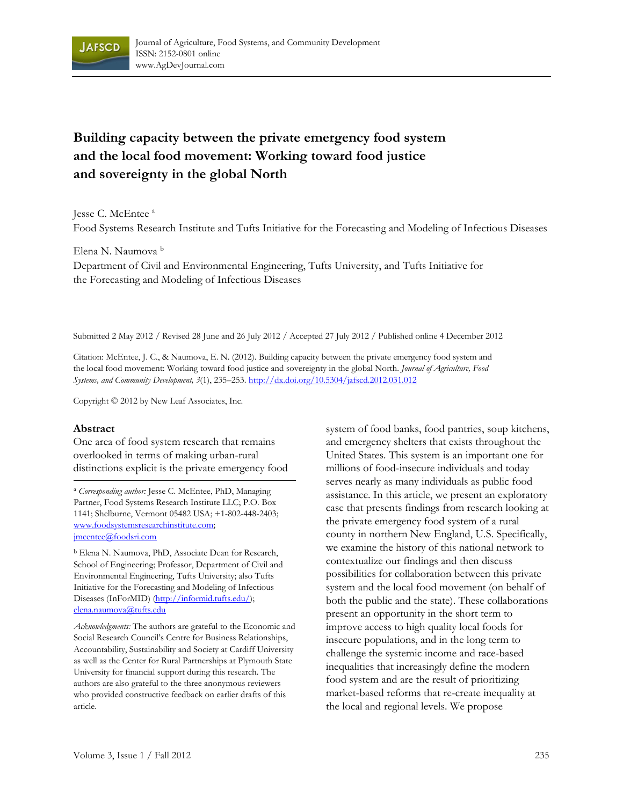

# **Building capacity between the private emergency food system and the local food movement: Working toward food justice and sovereignty in the global North**

Jesse C. McEntee<sup>a</sup>

Food Systems Research Institute and Tufts Initiative for the Forecasting and Modeling of Infectious Diseases

Elena N. Naumova b

Department of Civil and Environmental Engineering, Tufts University, and Tufts Initiative for the Forecasting and Modeling of Infectious Diseases

Submitted 2 May 2012 / Revised 28 June and 26 July 2012 / Accepted 27 July 2012 / Published online 4 December 2012

Citation: McEntee, J. C., & Naumova, E. N. (2012). Building capacity between the private emergency food system and the local food movement: Working toward food justice and sovereignty in the global North. *Journal of Agriculture, Food Systems, and Community Development, 3*(1), 235–253. http://dx.doi.org/10.5304/jafscd.2012.031.012

Copyright © 2012 by New Leaf Associates, Inc.

#### **Abstract**

One area of food system research that remains overlooked in terms of making urban-rural distinctions explicit is the private emergency food

<sup>a</sup> *Corresponding author:* Jesse C. McEntee, PhD, Managing Partner, Food Systems Research Institute LLC; P.O. Box 1141; Shelburne, Vermont 05482 USA; +1-802-448-2403; www.foodsystemsresearchinstitute.com; jmcentee@foodsri.com

b Elena N. Naumova, PhD, Associate Dean for Research, School of Engineering; Professor, Department of Civil and Environmental Engineering, Tufts University; also Tufts Initiative for the Forecasting and Modeling of Infectious Diseases (InForMID) (http://informid.tufts.edu/); elena.naumova@tufts.edu

*Acknowledgments:* The authors are grateful to the Economic and Social Research Council's Centre for Business Relationships, Accountability, Sustainability and Society at Cardiff University as well as the Center for Rural Partnerships at Plymouth State University for financial support during this research. The authors are also grateful to the three anonymous reviewers who provided constructive feedback on earlier drafts of this article.

system of food banks, food pantries, soup kitchens, and emergency shelters that exists throughout the United States. This system is an important one for millions of food-insecure individuals and today serves nearly as many individuals as public food assistance. In this article, we present an exploratory case that presents findings from research looking at the private emergency food system of a rural county in northern New England, U.S. Specifically, we examine the history of this national network to contextualize our findings and then discuss possibilities for collaboration between this private system and the local food movement (on behalf of both the public and the state). These collaborations present an opportunity in the short term to improve access to high quality local foods for insecure populations, and in the long term to challenge the systemic income and race-based inequalities that increasingly define the modern food system and are the result of prioritizing market-based reforms that re-create inequality at the local and regional levels. We propose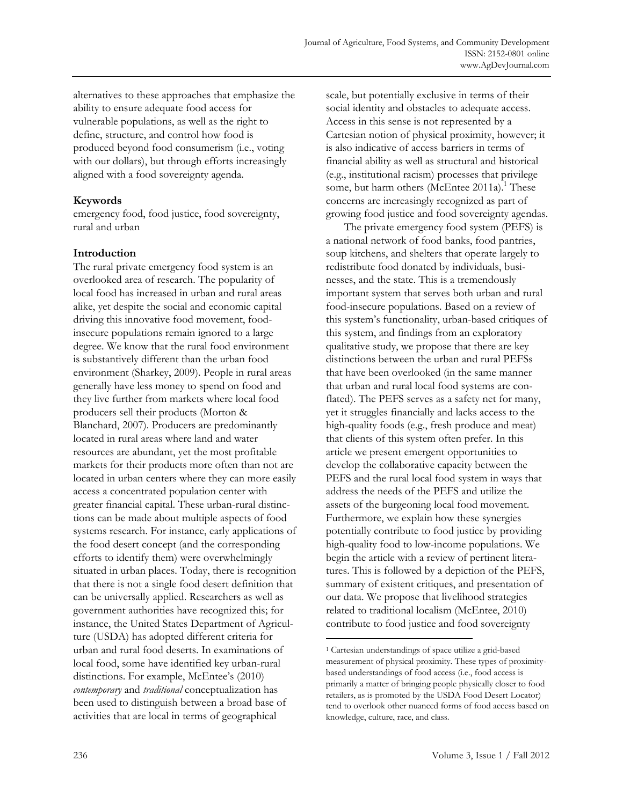alternatives to these approaches that emphasize the ability to ensure adequate food access for vulnerable populations, as well as the right to define, structure, and control how food is produced beyond food consumerism (i.e., voting with our dollars), but through efforts increasingly aligned with a food sovereignty agenda.

# **Keywords**

emergency food, food justice, food sovereignty, rural and urban

# **Introduction**

The rural private emergency food system is an overlooked area of research. The popularity of local food has increased in urban and rural areas alike, yet despite the social and economic capital driving this innovative food movement, foodinsecure populations remain ignored to a large degree. We know that the rural food environment is substantively different than the urban food environment (Sharkey, 2009). People in rural areas generally have less money to spend on food and they live further from markets where local food producers sell their products (Morton & Blanchard, 2007). Producers are predominantly located in rural areas where land and water resources are abundant, yet the most profitable markets for their products more often than not are located in urban centers where they can more easily access a concentrated population center with greater financial capital. These urban-rural distinctions can be made about multiple aspects of food systems research. For instance, early applications of the food desert concept (and the corresponding efforts to identify them) were overwhelmingly situated in urban places. Today, there is recognition that there is not a single food desert definition that can be universally applied. Researchers as well as government authorities have recognized this; for instance, the United States Department of Agriculture (USDA) has adopted different criteria for urban and rural food deserts. In examinations of local food, some have identified key urban-rural distinctions. For example, McEntee's (2010) *contemporary* and *traditional* conceptualization has been used to distinguish between a broad base of activities that are local in terms of geographical

scale, but potentially exclusive in terms of their social identity and obstacles to adequate access. Access in this sense is not represented by a Cartesian notion of physical proximity, however; it is also indicative of access barriers in terms of financial ability as well as structural and historical (e.g., institutional racism) processes that privilege some, but harm others (McEntee 2011a).<sup>1</sup> These concerns are increasingly recognized as part of growing food justice and food sovereignty agendas.

 The private emergency food system (PEFS) is a national network of food banks, food pantries, soup kitchens, and shelters that operate largely to redistribute food donated by individuals, businesses, and the state. This is a tremendously important system that serves both urban and rural food-insecure populations. Based on a review of this system's functionality, urban-based critiques of this system, and findings from an exploratory qualitative study, we propose that there are key distinctions between the urban and rural PEFSs that have been overlooked (in the same manner that urban and rural local food systems are conflated). The PEFS serves as a safety net for many, yet it struggles financially and lacks access to the high-quality foods (e.g., fresh produce and meat) that clients of this system often prefer. In this article we present emergent opportunities to develop the collaborative capacity between the PEFS and the rural local food system in ways that address the needs of the PEFS and utilize the assets of the burgeoning local food movement. Furthermore, we explain how these synergies potentially contribute to food justice by providing high-quality food to low-income populations. We begin the article with a review of pertinent literatures. This is followed by a depiction of the PEFS, summary of existent critiques, and presentation of our data. We propose that livelihood strategies related to traditional localism (McEntee, 2010) contribute to food justice and food sovereignty

 $\ddot{\phantom{a}}$ 

<sup>1</sup> Cartesian understandings of space utilize a grid-based measurement of physical proximity. These types of proximitybased understandings of food access (i.e., food access is primarily a matter of bringing people physically closer to food retailers, as is promoted by the USDA Food Desert Locator) tend to overlook other nuanced forms of food access based on knowledge, culture, race, and class.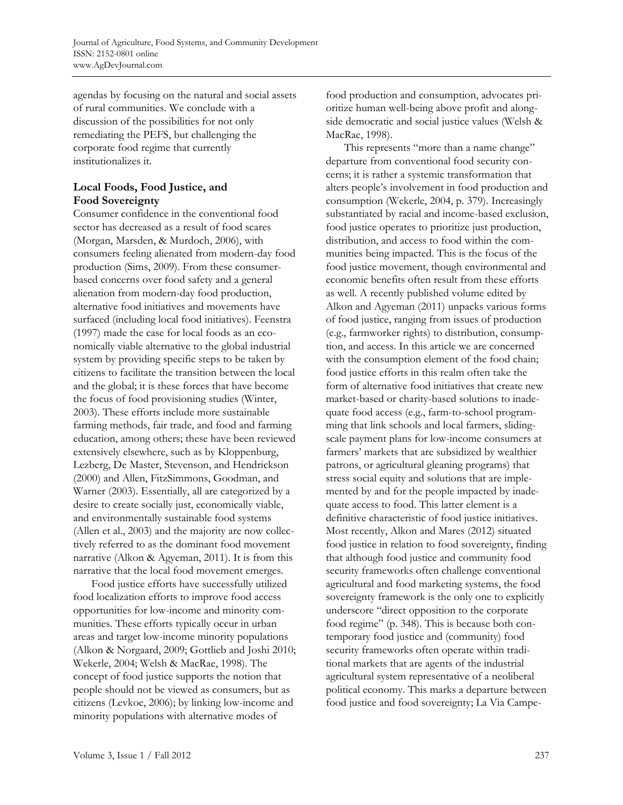agendas by focusing on the natural and social assets of rural communities. We conclude with a discussion of the possibilities for not only remediating the PEFS, but challenging the corporate food regime that currently institutionalizes it.

# **Local Foods, Food Justice, and Food Sovereignty**

Consumer confidence in the conventional food sector has decreased as a result of food scares (Morgan, Marsden, & Murdoch, 2006), with consumers feeling alienated from modern-day food production (Sims, 2009). From these consumerbased concerns over food safety and a general alienation from modern-day food production, alternative food initiatives and movements have surfaced (including local food initiatives). Feenstra (1997) made the case for local foods as an economically viable alternative to the global industrial system by providing specific steps to be taken by citizens to facilitate the transition between the local and the global; it is these forces that have become the focus of food provisioning studies (Winter, 2003). These efforts include more sustainable farming methods, fair trade, and food and farming education, among others; these have been reviewed extensively elsewhere, such as by Kloppenburg, Lezberg, De Master, Stevenson, and Hendrickson (2000) and Allen, FitzSimmons, Goodman, and Warner (2003). Essentially, all are categorized by a desire to create socially just, economically viable, and environmentally sustainable food systems (Allen et al., 2003) and the majority are now collectively referred to as the dominant food movement narrative (Alkon & Agyeman, 2011). It is from this narrative that the local food movement emerges.

 Food justice efforts have successfully utilized food localization efforts to improve food access opportunities for low-income and minority communities. These efforts typically occur in urban areas and target low-income minority populations (Alkon & Norgaard, 2009; Gottlieb and Joshi 2010; Wekerle, 2004; Welsh & MacRae, 1998). The concept of food justice supports the notion that people should not be viewed as consumers, but as citizens (Levkoe, 2006); by linking low-income and minority populations with alternative modes of

food production and consumption, advocates prioritize human well-being above profit and alongside democratic and social justice values (Welsh & MacRae, 1998).

This represents "more than a name change" departure from conventional food security concerns; it is rather a systemic transformation that alters people's involvement in food production and consumption (Wekerle, 2004, p. 379). Increasingly substantiated by racial and income-based exclusion, food justice operates to prioritize just production, distribution, and access to food within the communities being impacted. This is the focus of the food justice movement, though environmental and economic benefits often result from these efforts as well. A recently published volume edited by Alkon and Agyeman (2011) unpacks various forms of food justice, ranging from issues of production (e.g., farmworker rights) to distribution, consumption, and access. In this article we are concerned with the consumption element of the food chain; food justice efforts in this realm often take the form of alternative food initiatives that create new market-based or charity-based solutions to inadequate food access (e.g., farm-to-school programming that link schools and local farmers, slidingscale payment plans for low-income consumers at farmers' markets that are subsidized by wealthier patrons, or agricultural gleaning programs) that stress social equity and solutions that are implemented by and for the people impacted by inadequate access to food. This latter element is a definitive characteristic of food justice initiatives. Most recently, Alkon and Mares (2012) situated food justice in relation to food sovereignty, finding that although food justice and community food security frameworks often challenge conventional agricultural and food marketing systems, the food sovereignty framework is the only one to explicitly underscore "direct opposition to the corporate food regime" (p. 348). This is because both contemporary food justice and (community) food security frameworks often operate within traditional markets that are agents of the industrial agricultural system representative of a neoliberal political economy. This marks a departure between food justice and food sovereignty; La Via Campe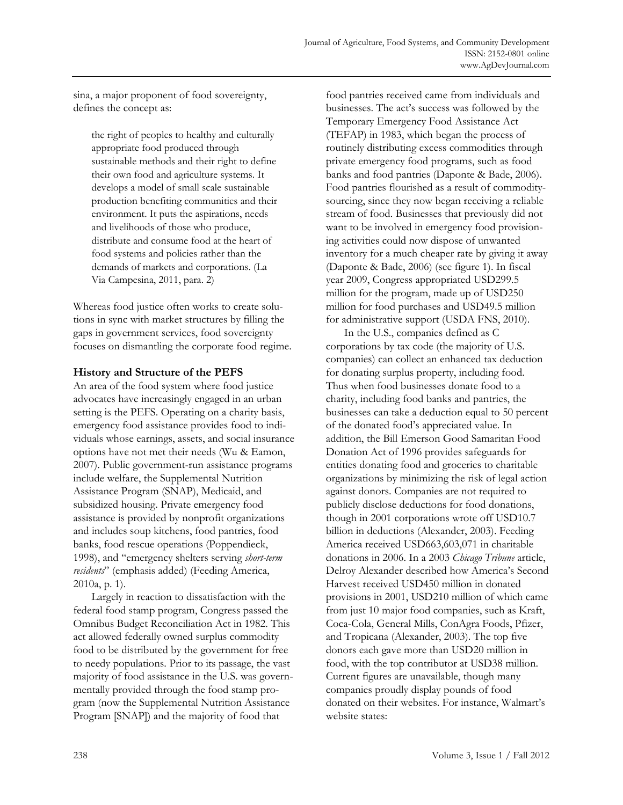sina, a major proponent of food sovereignty, defines the concept as:

the right of peoples to healthy and culturally appropriate food produced through sustainable methods and their right to define their own food and agriculture systems. It develops a model of small scale sustainable production benefiting communities and their environment. It puts the aspirations, needs and livelihoods of those who produce, distribute and consume food at the heart of food systems and policies rather than the demands of markets and corporations. (La Via Campesina, 2011, para. 2)

Whereas food justice often works to create solutions in sync with market structures by filling the gaps in government services, food sovereignty focuses on dismantling the corporate food regime.

### **History and Structure of the PEFS**

An area of the food system where food justice advocates have increasingly engaged in an urban setting is the PEFS. Operating on a charity basis, emergency food assistance provides food to individuals whose earnings, assets, and social insurance options have not met their needs (Wu & Eamon, 2007). Public government-run assistance programs include welfare, the Supplemental Nutrition Assistance Program (SNAP), Medicaid, and subsidized housing. Private emergency food assistance is provided by nonprofit organizations and includes soup kitchens, food pantries, food banks, food rescue operations (Poppendieck, 1998), and "emergency shelters serving *short-term residents*" (emphasis added) (Feeding America, 2010a, p. 1).

 Largely in reaction to dissatisfaction with the federal food stamp program, Congress passed the Omnibus Budget Reconciliation Act in 1982. This act allowed federally owned surplus commodity food to be distributed by the government for free to needy populations. Prior to its passage, the vast majority of food assistance in the U.S. was governmentally provided through the food stamp program (now the Supplemental Nutrition Assistance Program [SNAP]) and the majority of food that

food pantries received came from individuals and businesses. The act's success was followed by the Temporary Emergency Food Assistance Act (TEFAP) in 1983, which began the process of routinely distributing excess commodities through private emergency food programs, such as food banks and food pantries (Daponte & Bade, 2006). Food pantries flourished as a result of commoditysourcing, since they now began receiving a reliable stream of food. Businesses that previously did not want to be involved in emergency food provisioning activities could now dispose of unwanted inventory for a much cheaper rate by giving it away (Daponte & Bade, 2006) (see figure 1). In fiscal year 2009, Congress appropriated USD299.5 million for the program, made up of USD250 million for food purchases and USD49.5 million for administrative support (USDA FNS, 2010).

 In the U.S., companies defined as C corporations by tax code (the majority of U.S. companies) can collect an enhanced tax deduction for donating surplus property, including food. Thus when food businesses donate food to a charity, including food banks and pantries, the businesses can take a deduction equal to 50 percent of the donated food's appreciated value. In addition, the Bill Emerson Good Samaritan Food Donation Act of 1996 provides safeguards for entities donating food and groceries to charitable organizations by minimizing the risk of legal action against donors. Companies are not required to publicly disclose deductions for food donations, though in 2001 corporations wrote off USD10.7 billion in deductions (Alexander, 2003). Feeding America received USD663,603,071 in charitable donations in 2006. In a 2003 *Chicago Tribune* article, Delroy Alexander described how America's Second Harvest received USD450 million in donated provisions in 2001, USD210 million of which came from just 10 major food companies, such as Kraft, Coca-Cola, General Mills, ConAgra Foods, Pfizer, and Tropicana (Alexander, 2003). The top five donors each gave more than USD20 million in food, with the top contributor at USD38 million. Current figures are unavailable, though many companies proudly display pounds of food donated on their websites. For instance, Walmart's website states: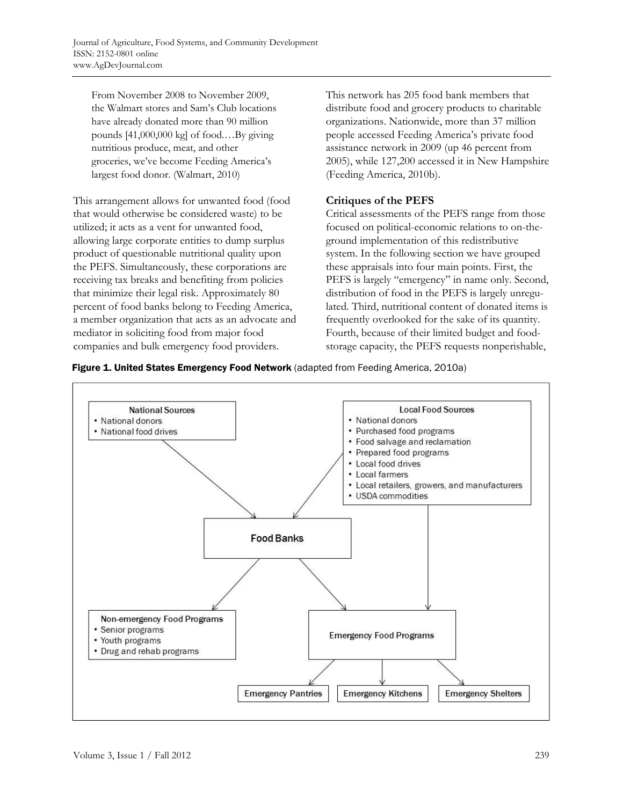From November 2008 to November 2009, the Walmart stores and Sam's Club locations have already donated more than 90 million pounds [41,000,000 kg] of food.…By giving nutritious produce, meat, and other groceries, we've become Feeding America's largest food donor. (Walmart, 2010)

This arrangement allows for unwanted food (food that would otherwise be considered waste) to be utilized; it acts as a vent for unwanted food, allowing large corporate entities to dump surplus product of questionable nutritional quality upon the PEFS. Simultaneously, these corporations are receiving tax breaks and benefiting from policies that minimize their legal risk. Approximately 80 percent of food banks belong to Feeding America, a member organization that acts as an advocate and mediator in soliciting food from major food companies and bulk emergency food providers.

This network has 205 food bank members that distribute food and grocery products to charitable organizations. Nationwide, more than 37 million people accessed Feeding America's private food assistance network in 2009 (up 46 percent from 2005), while 127,200 accessed it in New Hampshire (Feeding America, 2010b).

# **Critiques of the PEFS**

Critical assessments of the PEFS range from those focused on political-economic relations to on-theground implementation of this redistributive system. In the following section we have grouped these appraisals into four main points. First, the PEFS is largely "emergency" in name only. Second, distribution of food in the PEFS is largely unregulated. Third, nutritional content of donated items is frequently overlooked for the sake of its quantity. Fourth, because of their limited budget and foodstorage capacity, the PEFS requests nonperishable,



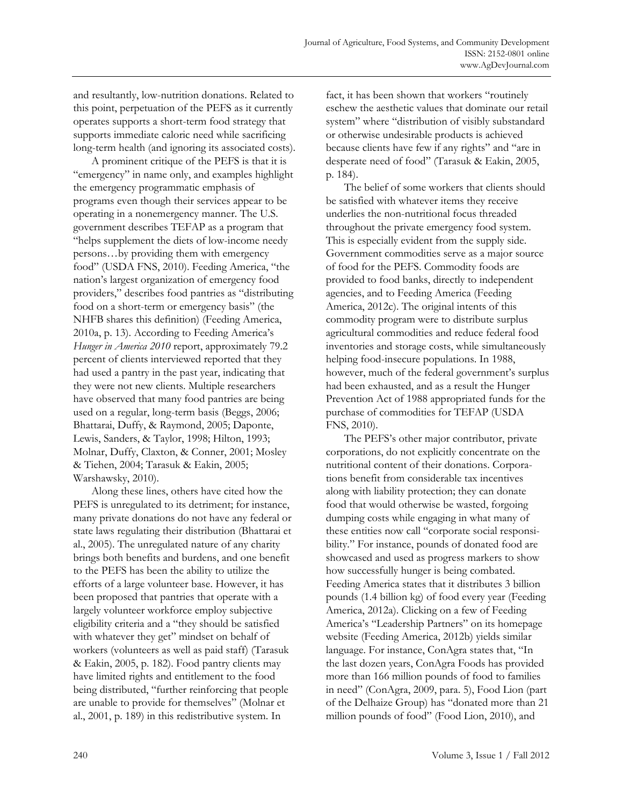and resultantly, low-nutrition donations. Related to this point, perpetuation of the PEFS as it currently operates supports a short-term food strategy that supports immediate caloric need while sacrificing long-term health (and ignoring its associated costs).

 A prominent critique of the PEFS is that it is "emergency" in name only, and examples highlight the emergency programmatic emphasis of programs even though their services appear to be operating in a nonemergency manner. The U.S. government describes TEFAP as a program that "helps supplement the diets of low-income needy persons…by providing them with emergency food" (USDA FNS, 2010). Feeding America, "the nation's largest organization of emergency food providers," describes food pantries as "distributing food on a short-term or emergency basis" (the NHFB shares this definition) (Feeding America, 2010a, p. 13). According to Feeding America's *Hunger in America 2010* report, approximately 79.2 percent of clients interviewed reported that they had used a pantry in the past year, indicating that they were not new clients. Multiple researchers have observed that many food pantries are being used on a regular, long-term basis (Beggs, 2006; Bhattarai, Duffy, & Raymond, 2005; Daponte, Lewis, Sanders, & Taylor, 1998; Hilton, 1993; Molnar, Duffy, Claxton, & Conner, 2001; Mosley & Tiehen, 2004; Tarasuk & Eakin, 2005; Warshawsky, 2010).

 Along these lines, others have cited how the PEFS is unregulated to its detriment; for instance, many private donations do not have any federal or state laws regulating their distribution (Bhattarai et al., 2005). The unregulated nature of any charity brings both benefits and burdens, and one benefit to the PEFS has been the ability to utilize the efforts of a large volunteer base. However, it has been proposed that pantries that operate with a largely volunteer workforce employ subjective eligibility criteria and a "they should be satisfied with whatever they get" mindset on behalf of workers (volunteers as well as paid staff) (Tarasuk & Eakin, 2005, p. 182). Food pantry clients may have limited rights and entitlement to the food being distributed, "further reinforcing that people are unable to provide for themselves" (Molnar et al., 2001, p. 189) in this redistributive system. In

fact, it has been shown that workers "routinely eschew the aesthetic values that dominate our retail system" where "distribution of visibly substandard or otherwise undesirable products is achieved because clients have few if any rights" and "are in desperate need of food" (Tarasuk & Eakin, 2005, p. 184).

 The belief of some workers that clients should be satisfied with whatever items they receive underlies the non-nutritional focus threaded throughout the private emergency food system. This is especially evident from the supply side. Government commodities serve as a major source of food for the PEFS. Commodity foods are provided to food banks, directly to independent agencies, and to Feeding America (Feeding America, 2012c). The original intents of this commodity program were to distribute surplus agricultural commodities and reduce federal food inventories and storage costs, while simultaneously helping food-insecure populations. In 1988, however, much of the federal government's surplus had been exhausted, and as a result the Hunger Prevention Act of 1988 appropriated funds for the purchase of commodities for TEFAP (USDA FNS, 2010).

 The PEFS's other major contributor, private corporations, do not explicitly concentrate on the nutritional content of their donations. Corporations benefit from considerable tax incentives along with liability protection; they can donate food that would otherwise be wasted, forgoing dumping costs while engaging in what many of these entities now call "corporate social responsibility." For instance, pounds of donated food are showcased and used as progress markers to show how successfully hunger is being combated. Feeding America states that it distributes 3 billion pounds (1.4 billion kg) of food every year (Feeding America, 2012a). Clicking on a few of Feeding America's "Leadership Partners" on its homepage website (Feeding America, 2012b) yields similar language. For instance, ConAgra states that, "In the last dozen years, ConAgra Foods has provided more than 166 million pounds of food to families in need" (ConAgra, 2009, para. 5), Food Lion (part of the Delhaize Group) has "donated more than 21 million pounds of food" (Food Lion, 2010), and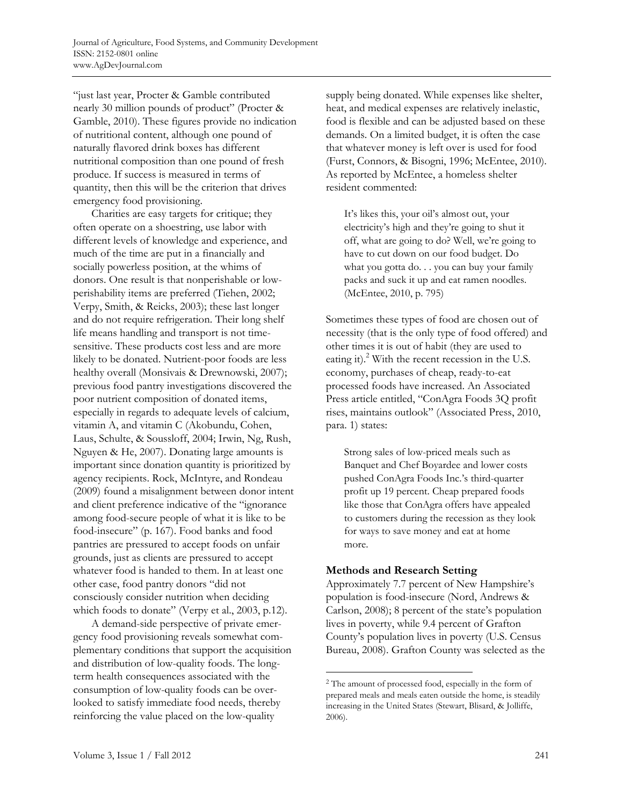"just last year, Procter & Gamble contributed nearly 30 million pounds of product" (Procter & Gamble, 2010). These figures provide no indication of nutritional content, although one pound of naturally flavored drink boxes has different nutritional composition than one pound of fresh produce. If success is measured in terms of quantity, then this will be the criterion that drives emergency food provisioning.

 Charities are easy targets for critique; they often operate on a shoestring, use labor with different levels of knowledge and experience, and much of the time are put in a financially and socially powerless position, at the whims of donors. One result is that nonperishable or lowperishability items are preferred (Tiehen, 2002; Verpy, Smith, & Reicks, 2003); these last longer and do not require refrigeration. Their long shelf life means handling and transport is not timesensitive. These products cost less and are more likely to be donated. Nutrient-poor foods are less healthy overall (Monsivais & Drewnowski, 2007); previous food pantry investigations discovered the poor nutrient composition of donated items, especially in regards to adequate levels of calcium, vitamin A, and vitamin C (Akobundu, Cohen, Laus, Schulte, & Soussloff, 2004; Irwin, Ng, Rush, Nguyen & He, 2007). Donating large amounts is important since donation quantity is prioritized by agency recipients. Rock, McIntyre, and Rondeau (2009) found a misalignment between donor intent and client preference indicative of the "ignorance among food-secure people of what it is like to be food-insecure" (p. 167). Food banks and food pantries are pressured to accept foods on unfair grounds, just as clients are pressured to accept whatever food is handed to them. In at least one other case, food pantry donors "did not consciously consider nutrition when deciding which foods to donate" (Verpy et al., 2003, p.12).

 A demand-side perspective of private emergency food provisioning reveals somewhat complementary conditions that support the acquisition and distribution of low-quality foods. The longterm health consequences associated with the consumption of low-quality foods can be overlooked to satisfy immediate food needs, thereby reinforcing the value placed on the low-quality

supply being donated. While expenses like shelter, heat, and medical expenses are relatively inelastic, food is flexible and can be adjusted based on these demands. On a limited budget, it is often the case that whatever money is left over is used for food (Furst, Connors, & Bisogni, 1996; McEntee, 2010). As reported by McEntee, a homeless shelter resident commented:

It's likes this, your oil's almost out, your electricity's high and they're going to shut it off, what are going to do? Well, we're going to have to cut down on our food budget. Do what you gotta do. . . you can buy your family packs and suck it up and eat ramen noodles. (McEntee, 2010, p. 795)

Sometimes these types of food are chosen out of necessity (that is the only type of food offered) and other times it is out of habit (they are used to eating it).<sup>2</sup> With the recent recession in the U.S. economy, purchases of cheap, ready-to-eat processed foods have increased. An Associated Press article entitled, "ConAgra Foods 3Q profit rises, maintains outlook" (Associated Press, 2010, para. 1) states:

Strong sales of low-priced meals such as Banquet and Chef Boyardee and lower costs pushed ConAgra Foods Inc.'s third-quarter profit up 19 percent. Cheap prepared foods like those that ConAgra offers have appealed to customers during the recession as they look for ways to save money and eat at home more.

### **Methods and Research Setting**

 $\ddot{\phantom{a}}$ 

Approximately 7.7 percent of New Hampshire's population is food-insecure (Nord, Andrews & Carlson, 2008); 8 percent of the state's population lives in poverty, while 9.4 percent of Grafton County's population lives in poverty (U.S. Census Bureau, 2008). Grafton County was selected as the

<sup>2</sup> The amount of processed food, especially in the form of prepared meals and meals eaten outside the home, is steadily increasing in the United States (Stewart, Blisard, & Jolliffe, 2006).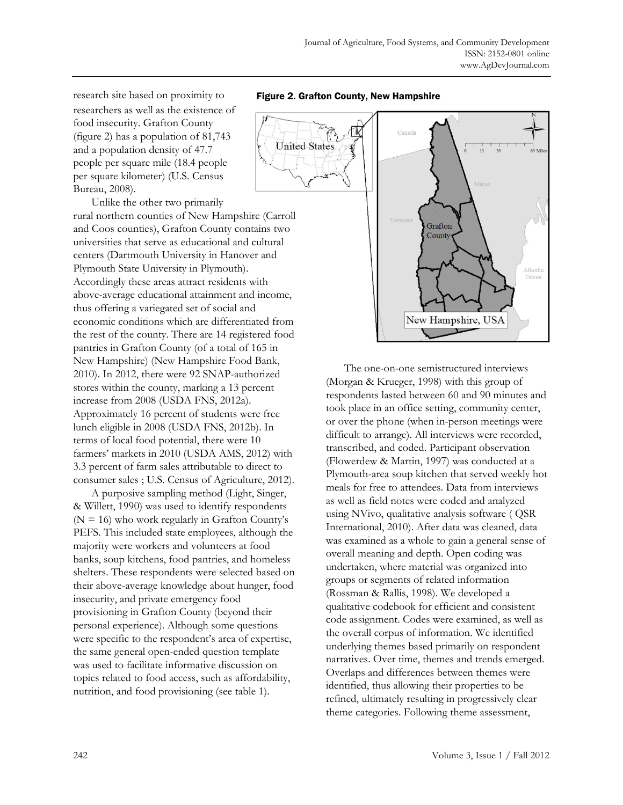research site based on proximity to researchers as well as the existence of food insecurity. Grafton County (figure 2) has a population of 81,743 and a population density of 47.7 people per square mile (18.4 people per square kilometer) (U.S. Census Bureau, 2008).

 Unlike the other two primarily rural northern counties of New Hampshire (Carroll and Coos counties), Grafton County contains two universities that serve as educational and cultural centers (Dartmouth University in Hanover and Plymouth State University in Plymouth). Accordingly these areas attract residents with above-average educational attainment and income, thus offering a variegated set of social and economic conditions which are differentiated from the rest of the county. There are 14 registered food pantries in Grafton County (of a total of 165 in New Hampshire) (New Hampshire Food Bank, 2010). In 2012, there were 92 SNAP-authorized stores within the county, marking a 13 percent increase from 2008 (USDA FNS, 2012a). Approximately 16 percent of students were free lunch eligible in 2008 (USDA FNS, 2012b). In terms of local food potential, there were 10 farmers' markets in 2010 (USDA AMS, 2012) with 3.3 percent of farm sales attributable to direct to consumer sales ; U.S. Census of Agriculture, 2012).

 A purposive sampling method (Light, Singer, & Willett, 1990) was used to identify respondents  $(N = 16)$  who work regularly in Grafton County's PEFS. This included state employees, although the majority were workers and volunteers at food banks, soup kitchens, food pantries, and homeless shelters. These respondents were selected based on their above-average knowledge about hunger, food insecurity, and private emergency food provisioning in Grafton County (beyond their personal experience). Although some questions were specific to the respondent's area of expertise, the same general open-ended question template was used to facilitate informative discussion on topics related to food access, such as affordability, nutrition, and food provisioning (see table 1).

Figure 2. Grafton County, New Hampshire



 The one-on-one semistructured interviews (Morgan & Krueger, 1998) with this group of respondents lasted between 60 and 90 minutes and took place in an office setting, community center, or over the phone (when in-person meetings were difficult to arrange). All interviews were recorded, transcribed, and coded. Participant observation (Flowerdew & Martin, 1997) was conducted at a Plymouth-area soup kitchen that served weekly hot meals for free to attendees. Data from interviews as well as field notes were coded and analyzed using NVivo, qualitative analysis software ( QSR International, 2010). After data was cleaned, data was examined as a whole to gain a general sense of overall meaning and depth. Open coding was undertaken, where material was organized into groups or segments of related information (Rossman & Rallis, 1998). We developed a qualitative codebook for efficient and consistent code assignment. Codes were examined, as well as the overall corpus of information. We identified underlying themes based primarily on respondent narratives. Over time, themes and trends emerged. Overlaps and differences between themes were identified, thus allowing their properties to be refined, ultimately resulting in progressively clear theme categories. Following theme assessment,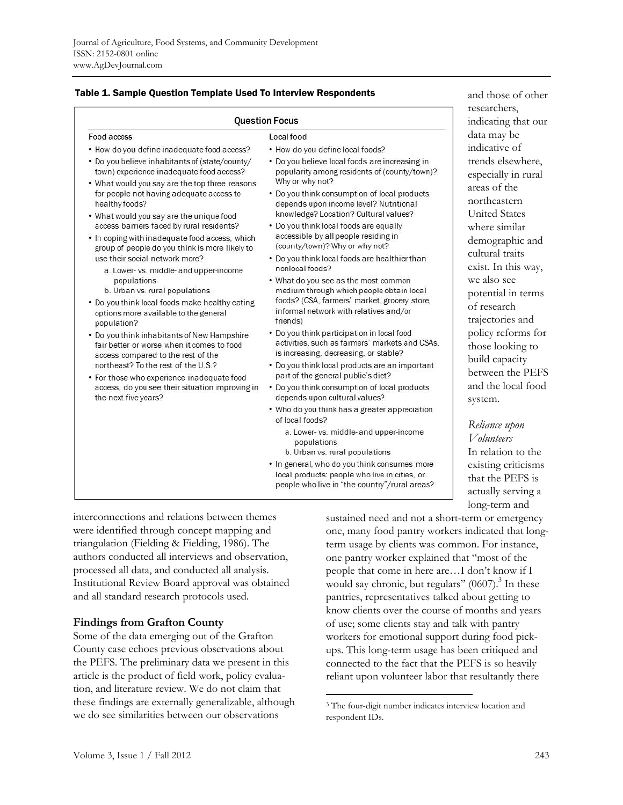|  |  |  | Table 1. Sample Question Template Used To Interview Respondents |
|--|--|--|-----------------------------------------------------------------|
|--|--|--|-----------------------------------------------------------------|

| <b>Question Focus</b>                                                                                                                                                                                                                                                                                                                                                                                                                                                               | researchers,<br>indicating that our                                                                                                                       |                                                                                                                                                                         |
|-------------------------------------------------------------------------------------------------------------------------------------------------------------------------------------------------------------------------------------------------------------------------------------------------------------------------------------------------------------------------------------------------------------------------------------------------------------------------------------|-----------------------------------------------------------------------------------------------------------------------------------------------------------|-------------------------------------------------------------------------------------------------------------------------------------------------------------------------|
| Food access                                                                                                                                                                                                                                                                                                                                                                                                                                                                         | Local food                                                                                                                                                | data may be                                                                                                                                                             |
| • How do you define inadequate food access?                                                                                                                                                                                                                                                                                                                                                                                                                                         | • How do you define local foods?                                                                                                                          | indicative of                                                                                                                                                           |
| • Do you believe inhabitants of (state/county/<br>town) experience inadequate food access?<br>• What would you say are the top three reasons<br>for people not having adequate access to<br>healthy foods?<br>• What would you say are the unique food<br>access barriers faced by rural residents?<br>• In coping with inadequate food access, which<br>group of people do you think is more likely to<br>use their social network more?<br>a. Lower- vs. middle- and upper-income | • Do you believe local foods are increasing in<br>popularity among residents of (county/town)?                                                            | trends elsewhere,<br>especially in rural                                                                                                                                |
|                                                                                                                                                                                                                                                                                                                                                                                                                                                                                     | Why or why not?<br>• Do you think consumption of local products<br>depends upon income level? Nutritional                                                 | areas of the<br>northeastern<br><b>United States</b><br>where similar<br>demographic and<br>cultural traits<br>exist. In this way,<br>we also see<br>potential in terms |
|                                                                                                                                                                                                                                                                                                                                                                                                                                                                                     | knowledge? Location? Cultural values?<br>• Do you think local foods are equally<br>accessible by all people residing in<br>(county/town)? Why or why not? |                                                                                                                                                                         |
|                                                                                                                                                                                                                                                                                                                                                                                                                                                                                     |                                                                                                                                                           |                                                                                                                                                                         |
|                                                                                                                                                                                                                                                                                                                                                                                                                                                                                     | populations<br>b. Urban vs. rural populations                                                                                                             |                                                                                                                                                                         |
| • Do you think local foods make healthy eating<br>options more available to the general<br>population?                                                                                                                                                                                                                                                                                                                                                                              | of research<br>trajectories and                                                                                                                           |                                                                                                                                                                         |
| • Do you think inhabitants of New Hampshire<br>fair better or worse when it comes to food<br>access compared to the rest of the<br>northeast? To the rest of the U.S.?<br>• For those who experience inadequate food<br>access, do you see their situation improving in                                                                                                                                                                                                             | • Do you think participation in local food<br>activities, such as farmers' markets and CSAs,<br>is increasing, decreasing, or stable?                     | policy reforms for<br>those looking to                                                                                                                                  |
|                                                                                                                                                                                                                                                                                                                                                                                                                                                                                     | . Do you think local products are an important                                                                                                            | build capacity<br>between the PEFS                                                                                                                                      |
|                                                                                                                                                                                                                                                                                                                                                                                                                                                                                     | part of the general public's diet?<br>• Do you think consumption of local products                                                                        | and the local food                                                                                                                                                      |
| the next five years?                                                                                                                                                                                                                                                                                                                                                                                                                                                                | depends upon cultural values?                                                                                                                             | system.                                                                                                                                                                 |
|                                                                                                                                                                                                                                                                                                                                                                                                                                                                                     | • Who do you think has a greater appreciation<br>of local foods?                                                                                          | Reliance upon                                                                                                                                                           |
|                                                                                                                                                                                                                                                                                                                                                                                                                                                                                     | a. Lower- vs. middle- and upper-income<br>populations                                                                                                     | <i>V</i> olunteers                                                                                                                                                      |
|                                                                                                                                                                                                                                                                                                                                                                                                                                                                                     | b. Urban vs. rural populations                                                                                                                            | In relation to the                                                                                                                                                      |
|                                                                                                                                                                                                                                                                                                                                                                                                                                                                                     | . In general, who do you think consumes more<br>local products: people who live in cities, or                                                             | existing criticisms<br>that the PEFS is                                                                                                                                 |
|                                                                                                                                                                                                                                                                                                                                                                                                                                                                                     | people who live in "the country"/rural areas?                                                                                                             | $\sim$ 11 $\sim$                                                                                                                                                        |

interconnections and relations between themes were identified through concept mapping and triangulation (Fielding & Fielding, 1986). The authors conducted all interviews and observation, processed all data, and conducted all analysis. Institutional Review Board approval was obtained and all standard research protocols used.

### **Findings from Grafton County**

Some of the data emerging out of the Grafton County case echoes previous observations about the PEFS. The preliminary data we present in this article is the product of field work, policy evaluation, and literature review. We do not claim that these findings are externally generalizable, although we do see similarities between our observations

sustained need and not a short-term or emergency one, many food pantry workers indicated that longterm usage by clients was common. For instance, one pantry worker explained that "most of the people that come in here are…I don't know if I would say chronic, but regulars"  $(0607)$ .<sup>3</sup> In these pantries, representatives talked about getting to know clients over the course of months and years of use; some clients stay and talk with pantry workers for emotional support during food pickups. This long-term usage has been critiqued and connected to the fact that the PEFS is so heavily reliant upon volunteer labor that resultantly there

 $\overline{a}$ 

and those of other

actually serving a long-term and

<sup>3</sup> The four-digit number indicates interview location and respondent IDs.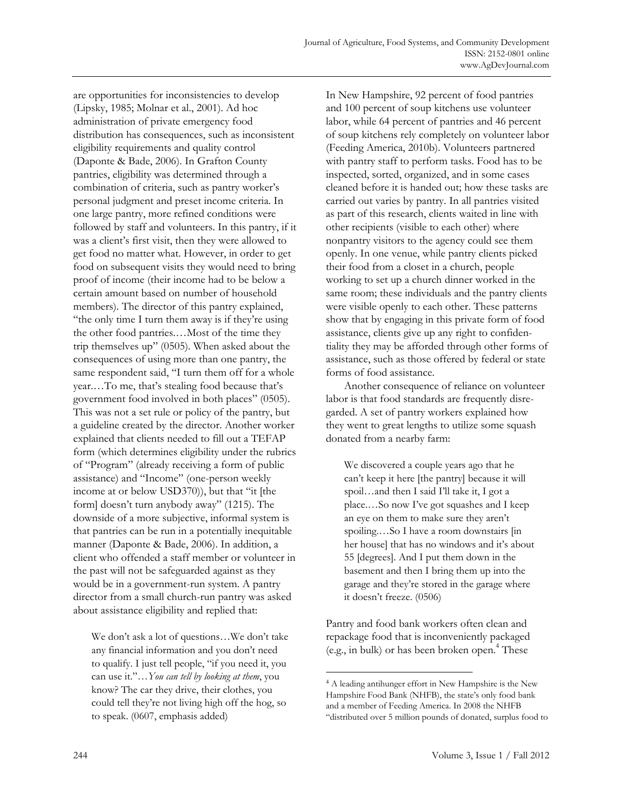are opportunities for inconsistencies to develop (Lipsky, 1985; Molnar et al., 2001). Ad hoc administration of private emergency food distribution has consequences, such as inconsistent eligibility requirements and quality control (Daponte & Bade, 2006). In Grafton County pantries, eligibility was determined through a combination of criteria, such as pantry worker's personal judgment and preset income criteria. In one large pantry, more refined conditions were followed by staff and volunteers. In this pantry, if it was a client's first visit, then they were allowed to get food no matter what. However, in order to get food on subsequent visits they would need to bring proof of income (their income had to be below a certain amount based on number of household members). The director of this pantry explained, "the only time I turn them away is if they're using the other food pantries.…Most of the time they trip themselves up" (0505). When asked about the consequences of using more than one pantry, the same respondent said, "I turn them off for a whole year.…To me, that's stealing food because that's government food involved in both places" (0505). This was not a set rule or policy of the pantry, but a guideline created by the director. Another worker explained that clients needed to fill out a TEFAP form (which determines eligibility under the rubrics of "Program" (already receiving a form of public assistance) and "Income" (one-person weekly income at or below USD370)), but that "it [the form] doesn't turn anybody away" (1215). The downside of a more subjective, informal system is that pantries can be run in a potentially inequitable manner (Daponte & Bade, 2006). In addition, a client who offended a staff member or volunteer in the past will not be safeguarded against as they would be in a government-run system. A pantry director from a small church-run pantry was asked about assistance eligibility and replied that:

We don't ask a lot of questions…We don't take any financial information and you don't need to qualify. I just tell people, "if you need it, you can use it."…*You can tell by looking at them*, you know? The car they drive, their clothes, you could tell they're not living high off the hog, so to speak. (0607, emphasis added)

In New Hampshire, 92 percent of food pantries and 100 percent of soup kitchens use volunteer labor, while 64 percent of pantries and 46 percent of soup kitchens rely completely on volunteer labor (Feeding America, 2010b). Volunteers partnered with pantry staff to perform tasks. Food has to be inspected, sorted, organized, and in some cases cleaned before it is handed out; how these tasks are carried out varies by pantry. In all pantries visited as part of this research, clients waited in line with other recipients (visible to each other) where nonpantry visitors to the agency could see them openly. In one venue, while pantry clients picked their food from a closet in a church, people working to set up a church dinner worked in the same room; these individuals and the pantry clients were visible openly to each other. These patterns show that by engaging in this private form of food assistance, clients give up any right to confidentiality they may be afforded through other forms of assistance, such as those offered by federal or state forms of food assistance.

 Another consequence of reliance on volunteer labor is that food standards are frequently disregarded. A set of pantry workers explained how they went to great lengths to utilize some squash donated from a nearby farm:

We discovered a couple years ago that he can't keep it here [the pantry] because it will spoil…and then I said I'll take it, I got a place.…So now I've got squashes and I keep an eye on them to make sure they aren't spoiling.…So I have a room downstairs [in her house] that has no windows and it's about 55 [degrees]. And I put them down in the basement and then I bring them up into the garage and they're stored in the garage where it doesn't freeze. (0506)

Pantry and food bank workers often clean and repackage food that is inconveniently packaged (e.g., in bulk) or has been broken open.4 These

 $\ddot{\phantom{a}}$ 

<sup>4</sup> A leading antihunger effort in New Hampshire is the New Hampshire Food Bank (NHFB), the state's only food bank and a member of Feeding America. In 2008 the NHFB "distributed over 5 million pounds of donated, surplus food to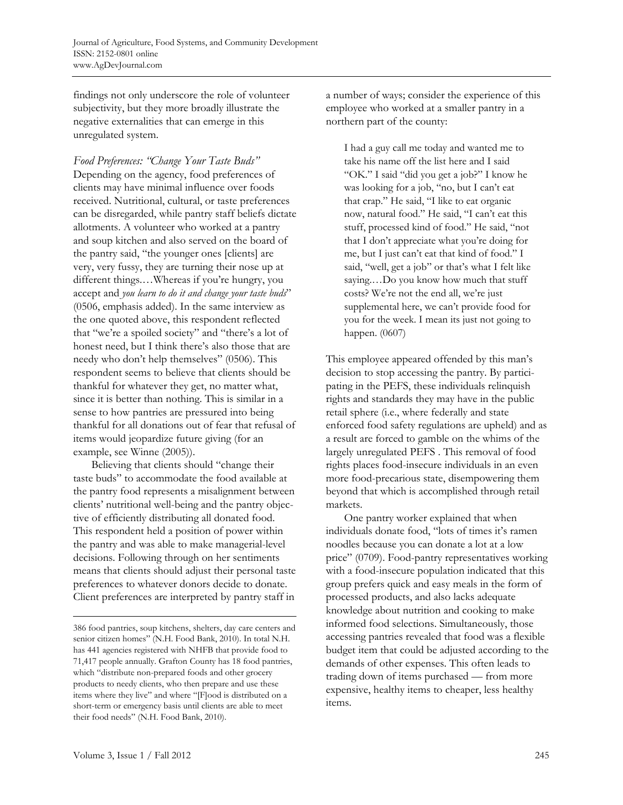findings not only underscore the role of volunteer subjectivity, but they more broadly illustrate the negative externalities that can emerge in this unregulated system.

*Food Preferences: "Change Your Taste Buds"*  Depending on the agency, food preferences of clients may have minimal influence over foods received. Nutritional, cultural, or taste preferences can be disregarded, while pantry staff beliefs dictate allotments. A volunteer who worked at a pantry and soup kitchen and also served on the board of the pantry said, "the younger ones [clients] are very, very fussy, they are turning their nose up at different things.…Whereas if you're hungry, you accept and *you learn to do it and change your taste buds*" (0506, emphasis added). In the same interview as the one quoted above, this respondent reflected that "we're a spoiled society" and "there's a lot of honest need, but I think there's also those that are needy who don't help themselves" (0506). This respondent seems to believe that clients should be thankful for whatever they get, no matter what, since it is better than nothing. This is similar in a sense to how pantries are pressured into being thankful for all donations out of fear that refusal of items would jeopardize future giving (for an example, see Winne (2005)).

 Believing that clients should "change their taste buds" to accommodate the food available at the pantry food represents a misalignment between clients' nutritional well-being and the pantry objective of efficiently distributing all donated food. This respondent held a position of power within the pantry and was able to make managerial-level decisions. Following through on her sentiments means that clients should adjust their personal taste preferences to whatever donors decide to donate. Client preferences are interpreted by pantry staff in

a number of ways; consider the experience of this employee who worked at a smaller pantry in a northern part of the county:

I had a guy call me today and wanted me to take his name off the list here and I said "OK." I said "did you get a job?" I know he was looking for a job, "no, but I can't eat that crap." He said, "I like to eat organic now, natural food." He said, "I can't eat this stuff, processed kind of food." He said, "not that I don't appreciate what you're doing for me, but I just can't eat that kind of food." I said, "well, get a job" or that's what I felt like saying.…Do you know how much that stuff costs? We're not the end all, we're just supplemental here, we can't provide food for you for the week. I mean its just not going to happen. (0607)

This employee appeared offended by this man's decision to stop accessing the pantry. By participating in the PEFS, these individuals relinquish rights and standards they may have in the public retail sphere (i.e., where federally and state enforced food safety regulations are upheld) and as a result are forced to gamble on the whims of the largely unregulated PEFS . This removal of food rights places food-insecure individuals in an even more food-precarious state, disempowering them beyond that which is accomplished through retail markets.

 One pantry worker explained that when individuals donate food, "lots of times it's ramen noodles because you can donate a lot at a low price" (0709). Food-pantry representatives working with a food-insecure population indicated that this group prefers quick and easy meals in the form of processed products, and also lacks adequate knowledge about nutrition and cooking to make informed food selections. Simultaneously, those accessing pantries revealed that food was a flexible budget item that could be adjusted according to the demands of other expenses. This often leads to trading down of items purchased — from more expensive, healthy items to cheaper, less healthy items.

 $\overline{\phantom{a}}$ 

<sup>386</sup> food pantries, soup kitchens, shelters, day care centers and senior citizen homes" (N.H. Food Bank, 2010). In total N.H. has 441 agencies registered with NHFB that provide food to 71,417 people annually. Grafton County has 18 food pantries, which "distribute non-prepared foods and other grocery products to needy clients, who then prepare and use these items where they live" and where "[F]ood is distributed on a short-term or emergency basis until clients are able to meet their food needs" (N.H. Food Bank, 2010).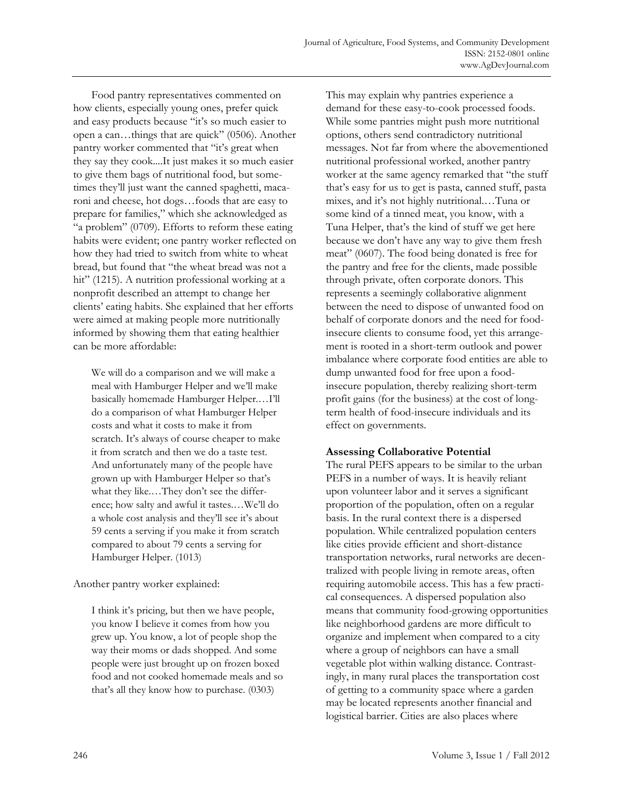Food pantry representatives commented on how clients, especially young ones, prefer quick and easy products because "it's so much easier to open a can…things that are quick" (0506). Another pantry worker commented that "it's great when they say they cook....It just makes it so much easier to give them bags of nutritional food, but sometimes they'll just want the canned spaghetti, macaroni and cheese, hot dogs…foods that are easy to prepare for families," which she acknowledged as "a problem" (0709). Efforts to reform these eating habits were evident; one pantry worker reflected on how they had tried to switch from white to wheat bread, but found that "the wheat bread was not a hit" (1215). A nutrition professional working at a nonprofit described an attempt to change her clients' eating habits. She explained that her efforts were aimed at making people more nutritionally informed by showing them that eating healthier can be more affordable:

We will do a comparison and we will make a meal with Hamburger Helper and we'll make basically homemade Hamburger Helper.…I'll do a comparison of what Hamburger Helper costs and what it costs to make it from scratch. It's always of course cheaper to make it from scratch and then we do a taste test. And unfortunately many of the people have grown up with Hamburger Helper so that's what they like.…They don't see the difference; how salty and awful it tastes.…We'll do a whole cost analysis and they'll see it's about 59 cents a serving if you make it from scratch compared to about 79 cents a serving for Hamburger Helper. (1013)

### Another pantry worker explained:

I think it's pricing, but then we have people, you know I believe it comes from how you grew up. You know, a lot of people shop the way their moms or dads shopped. And some people were just brought up on frozen boxed food and not cooked homemade meals and so that's all they know how to purchase. (0303)

This may explain why pantries experience a demand for these easy-to-cook processed foods. While some pantries might push more nutritional options, others send contradictory nutritional messages. Not far from where the abovementioned nutritional professional worked, another pantry worker at the same agency remarked that "the stuff that's easy for us to get is pasta, canned stuff, pasta mixes, and it's not highly nutritional.…Tuna or some kind of a tinned meat, you know, with a Tuna Helper, that's the kind of stuff we get here because we don't have any way to give them fresh meat" (0607). The food being donated is free for the pantry and free for the clients, made possible through private, often corporate donors. This represents a seemingly collaborative alignment between the need to dispose of unwanted food on behalf of corporate donors and the need for foodinsecure clients to consume food, yet this arrangement is rooted in a short-term outlook and power imbalance where corporate food entities are able to dump unwanted food for free upon a foodinsecure population, thereby realizing short-term profit gains (for the business) at the cost of longterm health of food-insecure individuals and its effect on governments.

# **Assessing Collaborative Potential**

The rural PEFS appears to be similar to the urban PEFS in a number of ways. It is heavily reliant upon volunteer labor and it serves a significant proportion of the population, often on a regular basis. In the rural context there is a dispersed population. While centralized population centers like cities provide efficient and short-distance transportation networks, rural networks are decentralized with people living in remote areas, often requiring automobile access. This has a few practical consequences. A dispersed population also means that community food-growing opportunities like neighborhood gardens are more difficult to organize and implement when compared to a city where a group of neighbors can have a small vegetable plot within walking distance. Contrastingly, in many rural places the transportation cost of getting to a community space where a garden may be located represents another financial and logistical barrier. Cities are also places where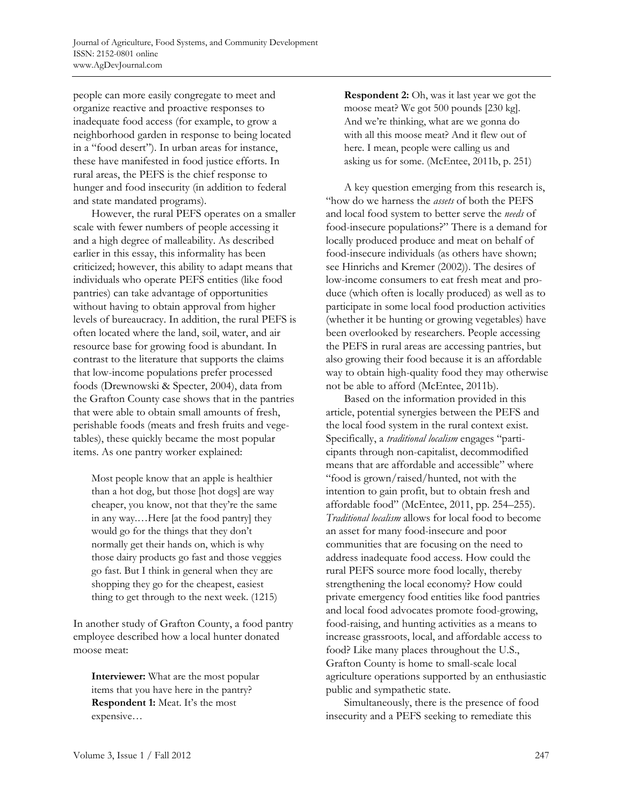people can more easily congregate to meet and organize reactive and proactive responses to inadequate food access (for example, to grow a neighborhood garden in response to being located in a "food desert"). In urban areas for instance, these have manifested in food justice efforts. In rural areas, the PEFS is the chief response to hunger and food insecurity (in addition to federal and state mandated programs).

 However, the rural PEFS operates on a smaller scale with fewer numbers of people accessing it and a high degree of malleability. As described earlier in this essay, this informality has been criticized; however, this ability to adapt means that individuals who operate PEFS entities (like food pantries) can take advantage of opportunities without having to obtain approval from higher levels of bureaucracy. In addition, the rural PEFS is often located where the land, soil, water, and air resource base for growing food is abundant. In contrast to the literature that supports the claims that low-income populations prefer processed foods (Drewnowski & Specter, 2004), data from the Grafton County case shows that in the pantries that were able to obtain small amounts of fresh, perishable foods (meats and fresh fruits and vegetables), these quickly became the most popular items. As one pantry worker explained:

Most people know that an apple is healthier than a hot dog, but those [hot dogs] are way cheaper, you know, not that they're the same in any way.…Here [at the food pantry] they would go for the things that they don't normally get their hands on, which is why those dairy products go fast and those veggies go fast. But I think in general when they are shopping they go for the cheapest, easiest thing to get through to the next week. (1215)

In another study of Grafton County, a food pantry employee described how a local hunter donated moose meat:

**Interviewer:** What are the most popular items that you have here in the pantry? **Respondent 1:** Meat. It's the most expensive…

**Respondent 2:** Oh, was it last year we got the moose meat? We got 500 pounds [230 kg]. And we're thinking, what are we gonna do with all this moose meat? And it flew out of here. I mean, people were calling us and asking us for some. (McEntee, 2011b, p. 251)

 A key question emerging from this research is, "how do we harness the *assets* of both the PEFS and local food system to better serve the *needs* of food-insecure populations?" There is a demand for locally produced produce and meat on behalf of food-insecure individuals (as others have shown; see Hinrichs and Kremer (2002)). The desires of low-income consumers to eat fresh meat and produce (which often is locally produced) as well as to participate in some local food production activities (whether it be hunting or growing vegetables) have been overlooked by researchers. People accessing the PEFS in rural areas are accessing pantries, but also growing their food because it is an affordable way to obtain high-quality food they may otherwise not be able to afford (McEntee, 2011b).

 Based on the information provided in this article, potential synergies between the PEFS and the local food system in the rural context exist. Specifically, a *traditional localism* engages "participants through non-capitalist, decommodified means that are affordable and accessible" where "food is grown/raised/hunted, not with the intention to gain profit, but to obtain fresh and affordable food" (McEntee, 2011, pp. 254–255). *Traditional localism* allows for local food to become an asset for many food-insecure and poor communities that are focusing on the need to address inadequate food access. How could the rural PEFS source more food locally, thereby strengthening the local economy? How could private emergency food entities like food pantries and local food advocates promote food-growing, food-raising, and hunting activities as a means to increase grassroots, local, and affordable access to food? Like many places throughout the U.S., Grafton County is home to small-scale local agriculture operations supported by an enthusiastic public and sympathetic state.

 Simultaneously, there is the presence of food insecurity and a PEFS seeking to remediate this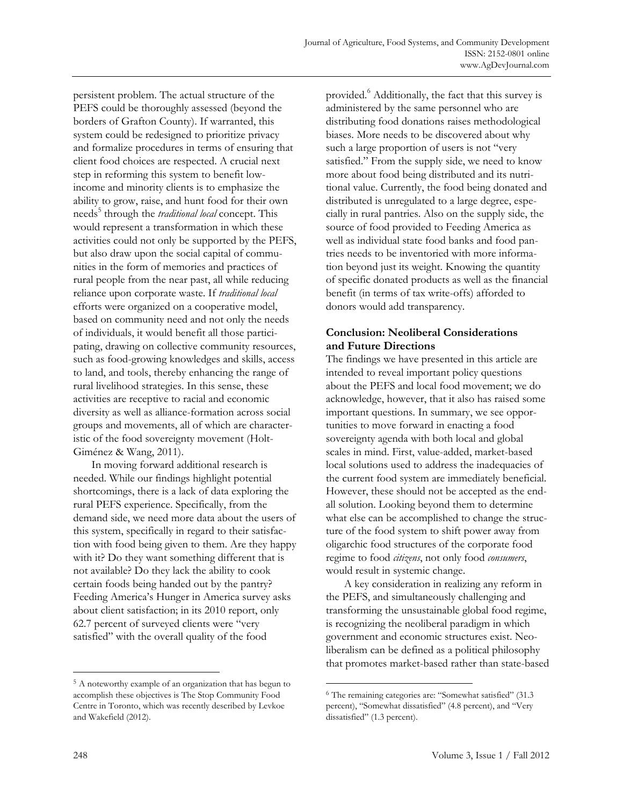persistent problem. The actual structure of the PEFS could be thoroughly assessed (beyond the borders of Grafton County). If warranted, this system could be redesigned to prioritize privacy and formalize procedures in terms of ensuring that client food choices are respected. A crucial next step in reforming this system to benefit lowincome and minority clients is to emphasize the ability to grow, raise, and hunt food for their own needs<sup>5</sup> through the *traditional local* concept. This would represent a transformation in which these activities could not only be supported by the PEFS, but also draw upon the social capital of communities in the form of memories and practices of rural people from the near past, all while reducing reliance upon corporate waste. If *traditional local* efforts were organized on a cooperative model, based on community need and not only the needs of individuals, it would benefit all those participating, drawing on collective community resources, such as food-growing knowledges and skills, access to land, and tools, thereby enhancing the range of rural livelihood strategies. In this sense, these activities are receptive to racial and economic diversity as well as alliance-formation across social groups and movements, all of which are characteristic of the food sovereignty movement (Holt-Giménez & Wang, 2011).

 In moving forward additional research is needed. While our findings highlight potential shortcomings, there is a lack of data exploring the rural PEFS experience. Specifically, from the demand side, we need more data about the users of this system, specifically in regard to their satisfaction with food being given to them. Are they happy with it? Do they want something different that is not available? Do they lack the ability to cook certain foods being handed out by the pantry? Feeding America's Hunger in America survey asks about client satisfaction; in its 2010 report, only 62.7 percent of surveyed clients were "very satisfied" with the overall quality of the food

provided.<sup>6</sup> Additionally, the fact that this survey is administered by the same personnel who are distributing food donations raises methodological biases. More needs to be discovered about why such a large proportion of users is not "very satisfied." From the supply side, we need to know more about food being distributed and its nutritional value. Currently, the food being donated and distributed is unregulated to a large degree, especially in rural pantries. Also on the supply side, the source of food provided to Feeding America as well as individual state food banks and food pantries needs to be inventoried with more information beyond just its weight. Knowing the quantity of specific donated products as well as the financial benefit (in terms of tax write-offs) afforded to donors would add transparency.

# **Conclusion: Neoliberal Considerations and Future Directions**

The findings we have presented in this article are intended to reveal important policy questions about the PEFS and local food movement; we do acknowledge, however, that it also has raised some important questions. In summary, we see opportunities to move forward in enacting a food sovereignty agenda with both local and global scales in mind. First, value-added, market-based local solutions used to address the inadequacies of the current food system are immediately beneficial. However, these should not be accepted as the endall solution. Looking beyond them to determine what else can be accomplished to change the structure of the food system to shift power away from oligarchic food structures of the corporate food regime to food *citizens*, not only food *consumers*, would result in systemic change.

 A key consideration in realizing any reform in the PEFS, and simultaneously challenging and transforming the unsustainable global food regime, is recognizing the neoliberal paradigm in which government and economic structures exist. Neoliberalism can be defined as a political philosophy that promotes market-based rather than state-based

 $\overline{a}$ 

 $\overline{a}$ 

<sup>5</sup> A noteworthy example of an organization that has begun to accomplish these objectives is The Stop Community Food Centre in Toronto, which was recently described by Levkoe and Wakefield (2012).

<sup>6</sup> The remaining categories are: "Somewhat satisfied" (31.3 percent), "Somewhat dissatisfied" (4.8 percent), and "Very dissatisfied" (1.3 percent).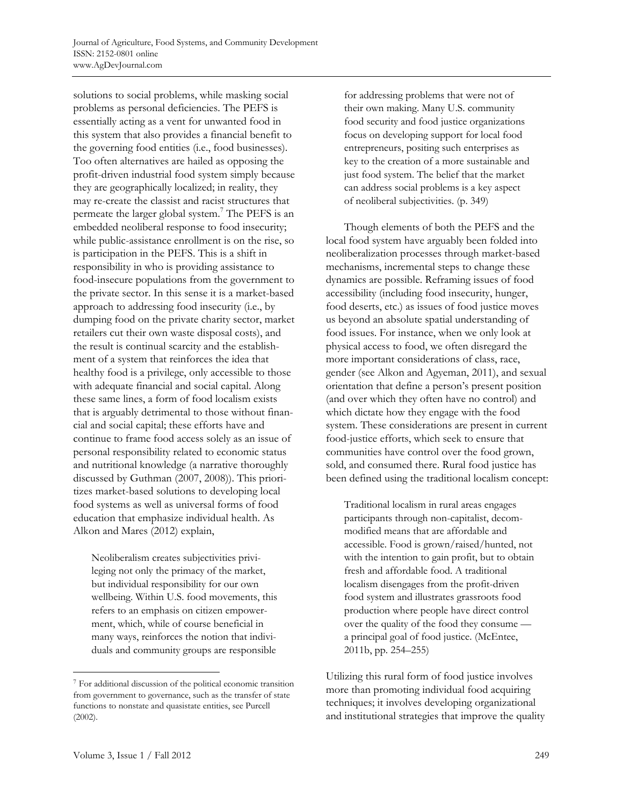solutions to social problems, while masking social problems as personal deficiencies. The PEFS is essentially acting as a vent for unwanted food in this system that also provides a financial benefit to the governing food entities (i.e., food businesses). Too often alternatives are hailed as opposing the profit-driven industrial food system simply because they are geographically localized; in reality, they may re-create the classist and racist structures that permeate the larger global system.<sup>7</sup> The PEFS is an embedded neoliberal response to food insecurity; while public-assistance enrollment is on the rise, so is participation in the PEFS. This is a shift in responsibility in who is providing assistance to food-insecure populations from the government to the private sector. In this sense it is a market-based approach to addressing food insecurity (i.e., by dumping food on the private charity sector, market retailers cut their own waste disposal costs), and the result is continual scarcity and the establishment of a system that reinforces the idea that healthy food is a privilege, only accessible to those with adequate financial and social capital. Along these same lines, a form of food localism exists that is arguably detrimental to those without financial and social capital; these efforts have and continue to frame food access solely as an issue of personal responsibility related to economic status and nutritional knowledge (a narrative thoroughly discussed by Guthman (2007, 2008)). This prioritizes market-based solutions to developing local food systems as well as universal forms of food education that emphasize individual health. As Alkon and Mares (2012) explain,

Neoliberalism creates subjectivities privileging not only the primacy of the market, but individual responsibility for our own wellbeing. Within U.S. food movements, this refers to an emphasis on citizen empowerment, which, while of course beneficial in many ways, reinforces the notion that individuals and community groups are responsible

for addressing problems that were not of their own making. Many U.S. community food security and food justice organizations focus on developing support for local food entrepreneurs, positing such enterprises as key to the creation of a more sustainable and just food system. The belief that the market can address social problems is a key aspect of neoliberal subjectivities. (p. 349)

 Though elements of both the PEFS and the local food system have arguably been folded into neoliberalization processes through market-based mechanisms, incremental steps to change these dynamics are possible. Reframing issues of food accessibility (including food insecurity, hunger, food deserts, etc.) as issues of food justice moves us beyond an absolute spatial understanding of food issues. For instance, when we only look at physical access to food, we often disregard the more important considerations of class, race, gender (see Alkon and Agyeman, 2011), and sexual orientation that define a person's present position (and over which they often have no control) and which dictate how they engage with the food system. These considerations are present in current food-justice efforts, which seek to ensure that communities have control over the food grown, sold, and consumed there. Rural food justice has been defined using the traditional localism concept:

Traditional localism in rural areas engages participants through non-capitalist, decommodified means that are affordable and accessible. Food is grown/raised/hunted, not with the intention to gain profit, but to obtain fresh and affordable food. A traditional localism disengages from the profit-driven food system and illustrates grassroots food production where people have direct control over the quality of the food they consume a principal goal of food justice. (McEntee, 2011b, pp. 254–255)

Utilizing this rural form of food justice involves more than promoting individual food acquiring techniques; it involves developing organizational and institutional strategies that improve the quality

 $\overline{a}$ 

<sup>7</sup> For additional discussion of the political economic transition from government to governance, such as the transfer of state functions to nonstate and quasistate entities, see Purcell (2002).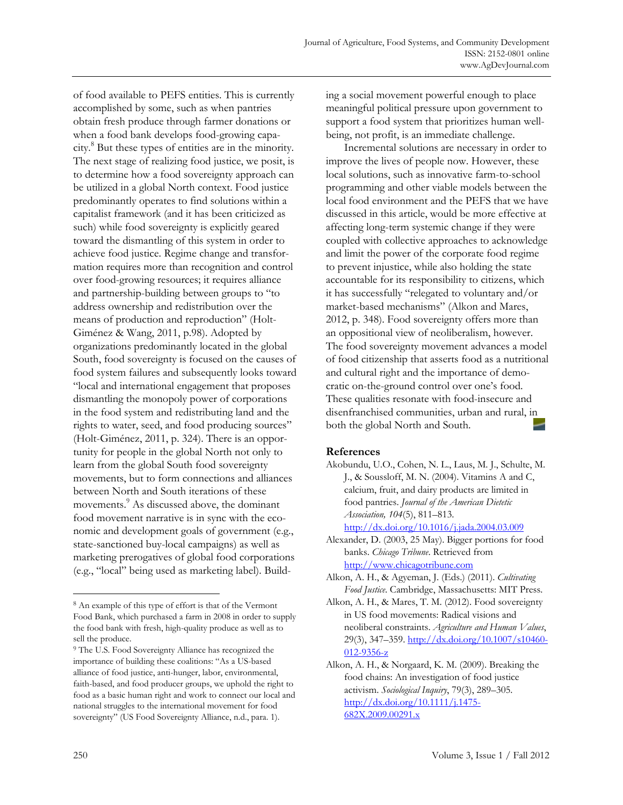of food available to PEFS entities. This is currently accomplished by some, such as when pantries obtain fresh produce through farmer donations or when a food bank develops food-growing capacity.<sup>8</sup> But these types of entities are in the minority. The next stage of realizing food justice, we posit, is to determine how a food sovereignty approach can be utilized in a global North context. Food justice predominantly operates to find solutions within a capitalist framework (and it has been criticized as such) while food sovereignty is explicitly geared toward the dismantling of this system in order to achieve food justice. Regime change and transformation requires more than recognition and control over food-growing resources; it requires alliance and partnership-building between groups to "to address ownership and redistribution over the means of production and reproduction" (Holt-Giménez & Wang, 2011, p.98). Adopted by organizations predominantly located in the global South, food sovereignty is focused on the causes of food system failures and subsequently looks toward "local and international engagement that proposes dismantling the monopoly power of corporations in the food system and redistributing land and the rights to water, seed, and food producing sources" (Holt-Giménez, 2011, p. 324). There is an opportunity for people in the global North not only to learn from the global South food sovereignty movements, but to form connections and alliances between North and South iterations of these movements.<sup>9</sup> As discussed above, the dominant food movement narrative is in sync with the economic and development goals of government (e.g., state-sanctioned buy-local campaigns) as well as marketing prerogatives of global food corporations (e.g., "local" being used as marketing label). Building a social movement powerful enough to place meaningful political pressure upon government to support a food system that prioritizes human wellbeing, not profit, is an immediate challenge.

 Incremental solutions are necessary in order to improve the lives of people now. However, these local solutions, such as innovative farm-to-school programming and other viable models between the local food environment and the PEFS that we have discussed in this article, would be more effective at affecting long-term systemic change if they were coupled with collective approaches to acknowledge and limit the power of the corporate food regime to prevent injustice, while also holding the state accountable for its responsibility to citizens, which it has successfully "relegated to voluntary and/or market-based mechanisms" (Alkon and Mares, 2012, p. 348). Food sovereignty offers more than an oppositional view of neoliberalism, however. The food sovereignty movement advances a model of food citizenship that asserts food as a nutritional and cultural right and the importance of democratic on-the-ground control over one's food. These qualities resonate with food-insecure and disenfranchised communities, urban and rural, in both the global North and South.

### **References**

http://dx.doi.org/10.1016/j.jada.2004.03.009

- Alexander, D. (2003, 25 May). Bigger portions for food banks. *Chicago Tribune*. Retrieved from http://www.chicagotribune.com
- Alkon, A. H., & Agyeman, J. (Eds.) (2011). *Cultivating Food Justice*. Cambridge, Massachusetts: MIT Press.

 $\overline{\phantom{a}}$ 

<sup>8</sup> An example of this type of effort is that of the Vermont Food Bank, which purchased a farm in 2008 in order to supply the food bank with fresh, high-quality produce as well as to sell the produce.

<sup>9</sup> The U.S. Food Sovereignty Alliance has recognized the importance of building these coalitions: "As a US-based alliance of food justice, anti-hunger, labor, environmental, faith-based, and food producer groups, we uphold the right to food as a basic human right and work to connect our local and national struggles to the international movement for food sovereignty" (US Food Sovereignty Alliance, n.d., para. 1).

Akobundu, U.O., Cohen, N. L., Laus, M. J., Schulte, M. J., & Soussloff, M. N. (2004). Vitamins A and C, calcium, fruit, and dairy products are limited in food pantries. *Journal of the American Dietetic Association, 104*(5), 811–813.

Alkon, A. H., & Mares, T. M. (2012). Food sovereignty in US food movements: Radical visions and neoliberal constraints. *Agriculture and Human Values*, 29(3), 347–359. http://dx.doi.org/10.1007/s10460- 012-9356-z

Alkon, A. H., & Norgaard, K. M. (2009). Breaking the food chains: An investigation of food justice activism. *Sociological Inquiry*, 79(3), 289–305. http://dx.doi.org/10.1111/j.1475- 682X.2009.00291.x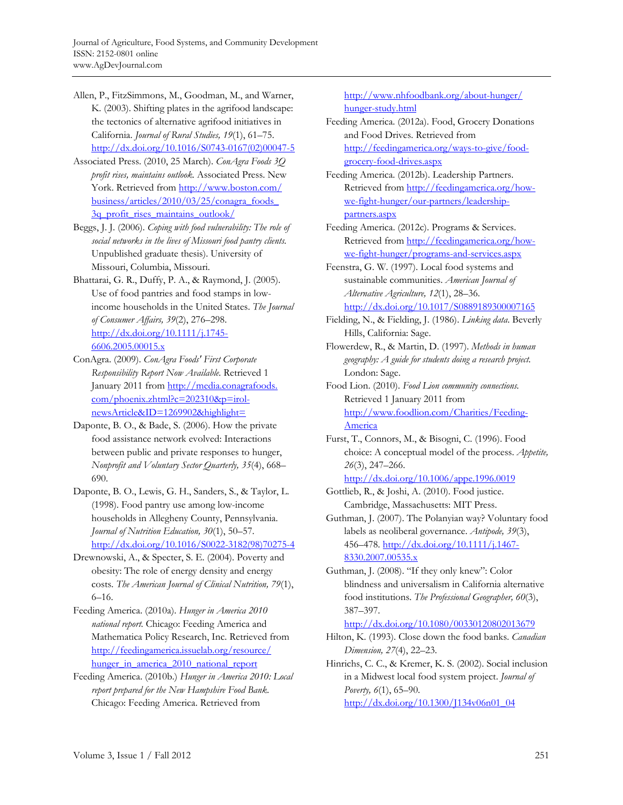- Allen, P., FitzSimmons, M., Goodman, M., and Warner, K. (2003). Shifting plates in the agrifood landscape: the tectonics of alternative agrifood initiatives in California. *Journal of Rural Studies, 19*(1), 61–75. [http://dx.doi.org/10.1016/S0743-0167\(02\)00047-5](http://dx.doi.org/10.1016/S0743-0167(02)00047-5)
- Associated Press. (2010, 25 March). *ConAgra Foods 3Q profit rises, maintains outlook.* Associated Press. New [York. Retrieved from http://www.boston.com/](http://www.boston.com/business/articles/2010/03/25/conagra_foods_3q_profit_rises_maintains_outlook/) business/articles/2010/03/25/conagra\_foods\_ 3q profit rises maintains outlook/
- Beggs, J. J. (2006). *Coping with food vulnerability: The role of social networks in the lives of Missouri food pantry clients.* Unpublished graduate thesis). University of Missouri, Columbia, Missouri.
- Bhattarai, G. R., Duffy, P. A., & Raymond, J. (2005). Use of food pantries and food stamps in lowincome households in the United States. *The Journal of Consumer Affairs, 39*(2), 276–298. http://dx.doi.org/10.1111/j.1745- 6606.2005.00015.x
- ConAgra. (2009). *ConAgra Foods' First Corporate Responsibility Report Now Available.* Retrieved 1 [January 2011 from http://media.conagrafoods.](http://media.conagrafoods.com/phoenix.zhtml?c=202310&p=irol-newsArticle&ID=1269902&highlight=)  com/phoenix.zhtml?c=202310&p=irolnewsArticle&ID=1269902&highlight=
- Daponte, B. O., & Bade, S. (2006). How the private food assistance network evolved: Interactions between public and private responses to hunger, *Nonprofit and Voluntary Sector Quarterly, 35*(4), 668– 690.
- Daponte, B. O., Lewis, G. H., Sanders, S., & Taylor, L. (1998). Food pantry use among low-income households in Allegheny County, Pennsylvania. *Journal of Nutrition Education, 30*(1), 50–57. [http://dx.doi.org/10.1016/S0022-3182\(98\)70275-4](http://dx.doi.org/10.1016/S0022-3182(98)70275-4)
- Drewnowski, A., & Specter, S. E. (2004). Poverty and obesity: The role of energy density and energy costs. *The American Journal of Clinical Nutrition, 79*(1), 6–16.
- Feeding America. (2010a). *Hunger in America 2010 national report.* Chicago: Feeding America and Mathematica Policy Research, Inc. Retrieved from [http://feedingamerica.issuelab.org/resource/](http://feedingamerica.issuelab.org/resource/hunger_in_america_2010_national_report)  hunger\_in\_america\_2010\_national\_report
- Feeding America. (2010b.) *Hunger in America 2010: Local report prepared for the New Hampshire Food Bank.* Chicago: Feeding America. Retrieved from

[http://www.nhfoodbank.org/about-hunger/](http://www.nhfoodbank.org/about-hunger/hunger-study.html)  hunger-study.html

- Feeding America. (2012a). Food, Grocery Donations and Food Drives. Retrieved from http://feedingamerica.org/ways-to-give/foodgrocery-food-drives.aspx
- Feeding America. (2012b). Leadership Partners. Retrieved from http://feedingamerica.org/howwe-fight-hunger/our-partners/leadershippartners.aspx
- Feeding America. (2012c). Programs & Services. Retrieved from http://feedingamerica.org/howwe-fight-hunger/programs-and-services.aspx

Feenstra, G. W. (1997). Local food systems and sustainable communities. *American Journal of Alternative Agriculture, 12*(1), 28–36. http://dx.doi.org/10.1017/S0889189300007165

- Fielding, N., & Fielding, J. (1986). *Linking data*. Beverly Hills, California: Sage.
- Flowerdew, R., & Martin, D. (1997). *Methods in human geography: A guide for students doing a research project*. London: Sage.
- Food Lion. (2010). *Food Lion community connections.*  Retrieved 1 January 2011 from http://www.foodlion.com/Charities/Feeding-America
- Furst, T., Connors, M., & Bisogni, C. (1996). Food choice: A conceptual model of the process. *Appetite, 26*(3), 247–266.
	- http://dx.doi.org/10.1006/appe.1996.0019
- Gottlieb, R., & Joshi, A. (2010). Food justice. Cambridge, Massachusetts: MIT Press.
- Guthman, J. (2007). The Polanyian way? Voluntary food labels as neoliberal governance. *Antipode, 39*(3), 456–478. http://dx.doi.org/10.1111/j.1467- 8330.2007.00535.x
- Guthman, J. (2008). "If they only knew": Color blindness and universalism in California alternative food institutions. *The Professional Geographer, 60*(3), 387–397.

http://dx.doi.org/10.1080/00330120802013679

- Hilton, K. (1993). Close down the food banks. *Canadian Dimension, 27*(4), 22–23.
- Hinrichs, C. C., & Kremer, K. S. (2002). Social inclusion in a Midwest local food system project. *Journal of Poverty, 6*(1), 65–90. http://dx.doi.org/10.1300/J134v06n01\_04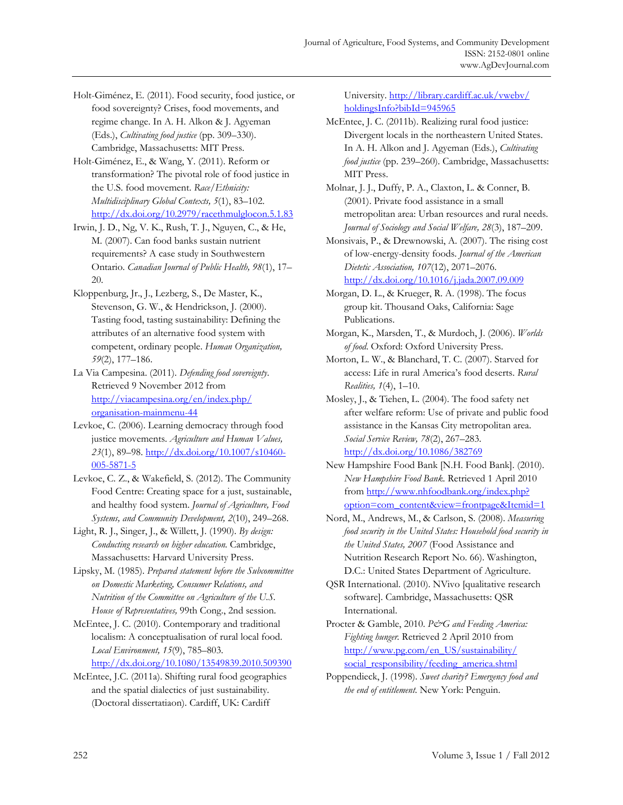Holt-Giménez, E. (2011). Food security, food justice, or food sovereignty? Crises, food movements, and regime change. In A. H. Alkon & J. Agyeman (Eds.), *Cultivating food justice* (pp. 309–330). Cambridge, Massachusetts: MIT Press.

Holt-Giménez, E., & Wang, Y. (2011). Reform or transformation? The pivotal role of food justice in the U.S. food movement. *Race/Ethnicity: Multidisciplinary Global Contexts, 5*(1), 83–102. http://dx.doi.org/10.2979/racethmulglocon.5.1.83

Irwin, J. D., Ng, V. K., Rush, T. J., Nguyen, C., & He, M. (2007). Can food banks sustain nutrient requirements? A case study in Southwestern Ontario. *Canadian Journal of Public Health, 98*(1), 17– 20.

- Kloppenburg, Jr., J., Lezberg, S., De Master, K., Stevenson, G. W., & Hendrickson, J. (2000). Tasting food, tasting sustainability: Defining the attributes of an alternative food system with competent, ordinary people. *Human Organization, 59*(2), 177–186.
- La Via Campesina. (2011). *Defending food sovereignty*. Retrieved 9 November 2012 from [http://viacampesina.org/en/index.php/](http://viacampesina.org/en/index.php/organisation-mainmenu-44)  organisation-mainmenu-44
- Levkoe, C. (2006). Learning democracy through food justice movements. *Agriculture and Human Values, 23*(1), 89–98. http://dx.doi.org/10.1007/s10460- 005-5871-5
- Levkoe, C. Z., & Wakefield, S. (2012). The Community Food Centre: Creating space for a just, sustainable, and healthy food system. *Journal of Agriculture, Food Systems, and Community Development, 2*(10), 249–268.
- Light, R. J., Singer, J., & Willett, J. (1990). *By design: Conducting research on higher education.* Cambridge, Massachusetts: Harvard University Press.
- Lipsky, M. (1985). *Prepared statement before the Subcommittee on Domestic Marketing, Consumer Relations, and Nutrition of the Committee on Agriculture of the U.S. House of Representatives,* 99th Cong., 2nd session.
- McEntee, J. C. (2010). Contemporary and traditional localism: A conceptualisation of rural local food. *Local Environment, 15*(9), 785–803. http://dx.doi.org/10.1080/13549839.2010.509390
- McEntee, J.C. (2011a). Shifting rural food geographies and the spatial dialectics of just sustainability. (Doctoral dissertatiaon). Cardiff, UK: Cardiff

[University. http://library.cardiff.ac.uk/vwebv/](http://library.cardiff.ac.uk/vwebv/holdingsInfo?bibId=945965)  holdingsInfo?bibId=945965

- McEntee, J. C. (2011b). Realizing rural food justice: Divergent locals in the northeastern United States. In A. H. Alkon and J. Agyeman (Eds.), *Cultivating food justice* (pp. 239–260). Cambridge, Massachusetts: MIT Press.
- Molnar, J. J., Duffy, P. A., Claxton, L. & Conner, B. (2001). Private food assistance in a small metropolitan area: Urban resources and rural needs. *Journal of Sociology and Social Welfare, 28*(3), 187–209.

Monsivais, P., & Drewnowski, A. (2007). The rising cost of low-energy-density foods. *Journal of the American Dietetic Association, 107*(12), 2071–2076. http://dx.doi.org/10.1016/j.jada.2007.09.009

- Morgan, D. L., & Krueger, R. A. (1998). The focus group kit. Thousand Oaks, California: Sage Publications.
- Morgan, K., Marsden, T., & Murdoch, J. (2006). *Worlds of food*. Oxford: Oxford University Press.
- Morton, L. W., & Blanchard, T. C. (2007). Starved for access: Life in rural America's food deserts. *Rural Realities, 1*(4), 1–10.
- Mosley, J., & Tiehen, L. (2004). The food safety net after welfare reform: Use of private and public food assistance in the Kansas City metropolitan area. *Social Service Review, 78*(2), 267–283. http://dx.doi.org/10.1086/382769
- New Hampshire Food Bank [N.H. Food Bank]. (2010). *New Hampshire Food Bank.* Retrieved 1 April 2010 from http://www.nhfoodbank.org/index.php? [option=com\\_content&view=frontpage&Itemid=1](http://www.nhfoodbank.org/index.php?option=com_content&view=frontpage&Itemid=1)
- Nord, M., Andrews, M., & Carlson, S. (2008). *Measuring food security in the United States: Household food security in the United States, 2007* (Food Assistance and Nutrition Research Report No. 66). Washington, D.C.: United States Department of Agriculture.
- QSR International. (2010). NVivo [qualitative research software]. Cambridge, Massachusetts: QSR International.
- Procter & Gamble, 2010. P&G and Feeding America: *Fighting hunger.* Retrieved 2 April 2010 from [http://www.pg.com/en\\_US/sustainability/](http://www.pg.com/en_US/sustainability/social_responsibility/feeding_america.shtml) social\_responsibility/feeding\_america.shtml
- Poppendieck, J. (1998). *Sweet charity? Emergency food and the end of entitlement*. New York: Penguin.